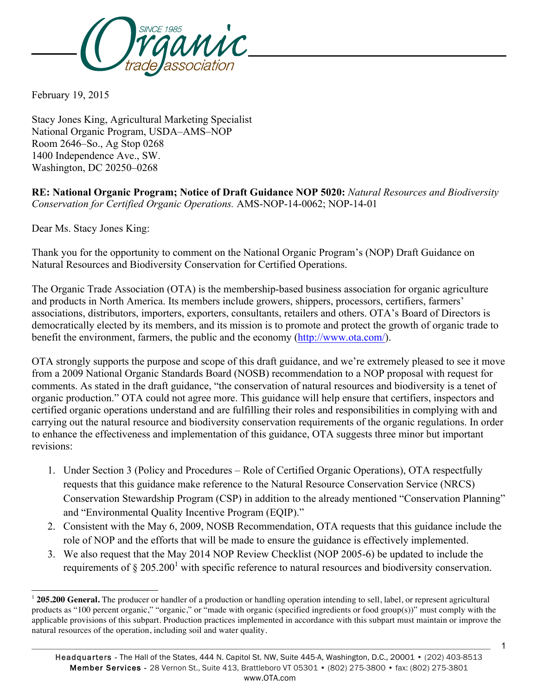

February 19, 2015

Stacy Jones King, Agricultural Marketing Specialist National Organic Program, USDA–AMS–NOP Room 2646–So., Ag Stop 0268 1400 Independence Ave., SW. Washington, DC 20250–0268

**RE: National Organic Program; Notice of Draft Guidance NOP 5020:** *Natural Resources and Biodiversity Conservation for Certified Organic Operations.* AMS-NOP-14-0062; NOP-14-01

Dear Ms. Stacy Jones King:

l

Thank you for the opportunity to comment on the National Organic Program's (NOP) Draft Guidance on Natural Resources and Biodiversity Conservation for Certified Operations.

The Organic Trade Association (OTA) is the membership-based business association for organic agriculture and products in North America. Its members include growers, shippers, processors, certifiers, farmers' associations, distributors, importers, exporters, consultants, retailers and others. OTA's Board of Directors is democratically elected by its members, and its mission is to promote and protect the growth of organic trade to benefit the environment, farmers, the public and the economy (http://www.ota.com/).

OTA strongly supports the purpose and scope of this draft guidance, and we're extremely pleased to see it move from a 2009 National Organic Standards Board (NOSB) recommendation to a NOP proposal with request for comments. As stated in the draft guidance, "the conservation of natural resources and biodiversity is a tenet of organic production." OTA could not agree more. This guidance will help ensure that certifiers, inspectors and certified organic operations understand and are fulfilling their roles and responsibilities in complying with and carrying out the natural resource and biodiversity conservation requirements of the organic regulations. In order to enhance the effectiveness and implementation of this guidance, OTA suggests three minor but important revisions:

- 1. Under Section 3 (Policy and Procedures Role of Certified Organic Operations), OTA respectfully requests that this guidance make reference to the Natural Resource Conservation Service (NRCS) Conservation Stewardship Program (CSP) in addition to the already mentioned "Conservation Planning" and "Environmental Quality Incentive Program (EQIP)."
- 2. Consistent with the May 6, 2009, NOSB Recommendation, OTA requests that this guidance include the role of NOP and the efforts that will be made to ensure the guidance is effectively implemented.
- 3. We also request that the May 2014 NOP Review Checklist (NOP 2005-6) be updated to include the requirements of  $\S 205.200<sup>1</sup>$  with specific reference to natural resources and biodiversity conservation.

1

<sup>&</sup>lt;sup>1</sup> 205.200 General. The producer or handler of a production or handling operation intending to sell, label, or represent agricultural products as "100 percent organic," "organic," or "made with organic (specified ingredients or food group(s))" must comply with the applicable provisions of this subpart. Production practices implemented in accordance with this subpart must maintain or improve the natural resources of the operation, including soil and water quality.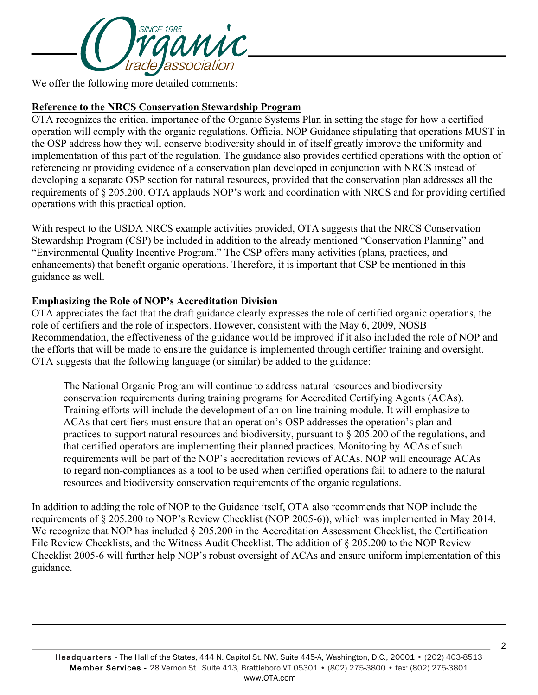

We offer the following more detailed comments:

## **Reference to the NRCS Conservation Stewardship Program**

OTA recognizes the critical importance of the Organic Systems Plan in setting the stage for how a certified operation will comply with the organic regulations. Official NOP Guidance stipulating that operations MUST in the OSP address how they will conserve biodiversity should in of itself greatly improve the uniformity and implementation of this part of the regulation. The guidance also provides certified operations with the option of referencing or providing evidence of a conservation plan developed in conjunction with NRCS instead of developing a separate OSP section for natural resources, provided that the conservation plan addresses all the requirements of § 205.200. OTA applauds NOP's work and coordination with NRCS and for providing certified operations with this practical option.

With respect to the USDA NRCS example activities provided, OTA suggests that the NRCS Conservation Stewardship Program (CSP) be included in addition to the already mentioned "Conservation Planning" and "Environmental Quality Incentive Program." The CSP offers many activities (plans, practices, and enhancements) that benefit organic operations. Therefore, it is important that CSP be mentioned in this guidance as well.

## **Emphasizing the Role of NOP's Accreditation Division**

l

OTA appreciates the fact that the draft guidance clearly expresses the role of certified organic operations, the role of certifiers and the role of inspectors. However, consistent with the May 6, 2009, NOSB Recommendation, the effectiveness of the guidance would be improved if it also included the role of NOP and the efforts that will be made to ensure the guidance is implemented through certifier training and oversight. OTA suggests that the following language (or similar) be added to the guidance:

The National Organic Program will continue to address natural resources and biodiversity conservation requirements during training programs for Accredited Certifying Agents (ACAs). Training efforts will include the development of an on-line training module. It will emphasize to ACAs that certifiers must ensure that an operation's OSP addresses the operation's plan and practices to support natural resources and biodiversity, pursuant to § 205.200 of the regulations, and that certified operators are implementing their planned practices. Monitoring by ACAs of such requirements will be part of the NOP's accreditation reviews of ACAs. NOP will encourage ACAs to regard non-compliances as a tool to be used when certified operations fail to adhere to the natural resources and biodiversity conservation requirements of the organic regulations.

In addition to adding the role of NOP to the Guidance itself, OTA also recommends that NOP include the requirements of § 205.200 to NOP's Review Checklist (NOP 2005-6)), which was implemented in May 2014. We recognize that NOP has included § 205.200 in the Accreditation Assessment Checklist, the Certification File Review Checklists, and the Witness Audit Checklist. The addition of § 205.200 to the NOP Review Checklist 2005-6 will further help NOP's robust oversight of ACAs and ensure uniform implementation of this guidance.

2